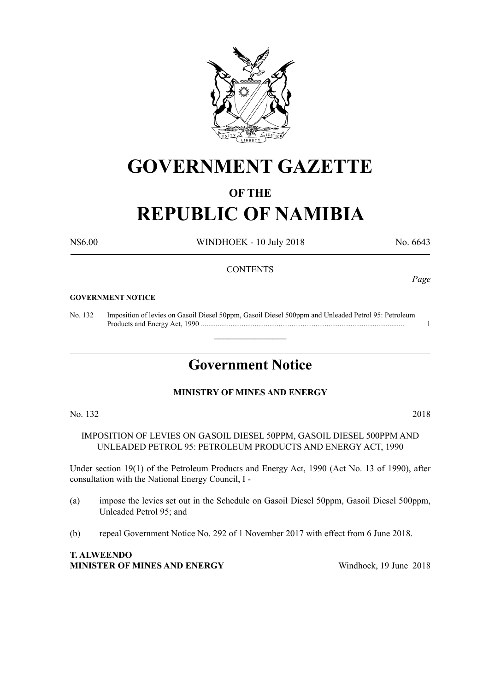

# **GOVERNMENT GAZETTE**

# **OF THE**

# **REPUBLIC OF NAMIBIA**

N\$6.00 WINDHOEK - 10 July 2018 No. 6643

# **CONTENTS**

#### **GOVERNMENT NOTICE**

No. 132 Imposition of levies on Gasoil Diesel 50ppm, Gasoil Diesel 500ppm and Unleaded Petrol 95: Petroleum Products and Energy Act, 1990 .............................................................................................................. 1

# **Government Notice**

 $\overline{\phantom{a}}$  , where  $\overline{\phantom{a}}$ 

# **MINISTRY OF MINES AND ENERGY**

No. 132 2018

IMPOSITION OF LEVIES ON GASOIL DIESEL 50PPM, GASOIL DIESEL 500PPM AND UNLEADED PETROL 95: PETROLEUM PRODUCTS AND ENERGY ACT, 1990

Under section 19(1) of the Petroleum Products and Energy Act, 1990 (Act No. 13 of 1990), after consultation with the National Energy Council, I -

- (a) impose the levies set out in the Schedule on Gasoil Diesel 50ppm, Gasoil Diesel 500ppm, Unleaded Petrol 95; and
- (b) repeal Government Notice No. 292 of 1 November 2017 with effect from 6 June 2018.

**T. ALWEENDO MINISTER OF MINES AND ENERGY** Windhoek, 19 June 2018

*Page*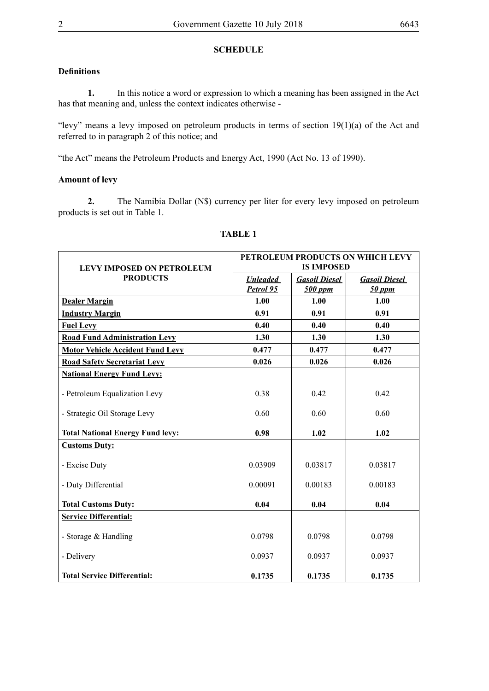# **SCHEDULE**

# **Definitions**

**1.** In this notice a word or expression to which a meaning has been assigned in the Act has that meaning and, unless the context indicates otherwise -

"levy" means a levy imposed on petroleum products in terms of section  $19(1)(a)$  of the Act and referred to in paragraph 2 of this notice; and

"the Act" means the Petroleum Products and Energy Act, 1990 (Act No. 13 of 1990).

# **Amount of levy**

**2.** The Namibia Dollar (N\$) currency per liter for every levy imposed on petroleum products is set out in Table 1.

|                                         | PETROLEUM PRODUCTS ON WHICH LEVY<br><b>IS IMPOSED</b> |                      |                      |
|-----------------------------------------|-------------------------------------------------------|----------------------|----------------------|
| <b>LEVY IMPOSED ON PETROLEUM</b>        |                                                       |                      |                      |
| <b>PRODUCTS</b>                         | <b>Unleaded</b>                                       | <b>Gasoil Diesel</b> | <b>Gasoil Diesel</b> |
|                                         | Petrol 95                                             | 500 ppm              | 50 ppm               |
| <b>Dealer Margin</b>                    | 1.00                                                  | 1.00                 | 1.00                 |
| <b>Industry Margin</b>                  | 0.91                                                  | 0.91                 | 0.91                 |
| <b>Fuel Levy</b>                        | 0.40                                                  | 0.40                 | 0.40                 |
| <b>Road Fund Administration Levy</b>    | 1.30                                                  | 1.30                 | 1.30                 |
| <b>Motor Vehicle Accident Fund Levy</b> | 0.477                                                 | 0.477                | 0.477                |
| <b>Road Safety Secretariat Levy</b>     | 0.026                                                 | 0.026                | 0.026                |
| <b>National Energy Fund Levy:</b>       |                                                       |                      |                      |
| - Petroleum Equalization Levy           | 0.38                                                  | 0.42                 | 0.42                 |
| - Strategic Oil Storage Levy            | 0.60                                                  | 0.60                 | 0.60                 |
| <b>Total National Energy Fund levy:</b> | 0.98                                                  | 1.02                 | 1.02                 |
| <b>Customs Duty:</b>                    |                                                       |                      |                      |
| - Excise Duty                           | 0.03909                                               | 0.03817              | 0.03817              |
| - Duty Differential                     | 0.00091                                               | 0.00183              | 0.00183              |
| <b>Total Customs Duty:</b>              | 0.04                                                  | 0.04                 | 0.04                 |
| <b>Service Differential:</b>            |                                                       |                      |                      |
| - Storage & Handling                    | 0.0798                                                | 0.0798               | 0.0798               |
| - Delivery                              | 0.0937                                                | 0.0937               | 0.0937               |
| <b>Total Service Differential:</b>      | 0.1735                                                | 0.1735               | 0.1735               |

### **TABLE 1**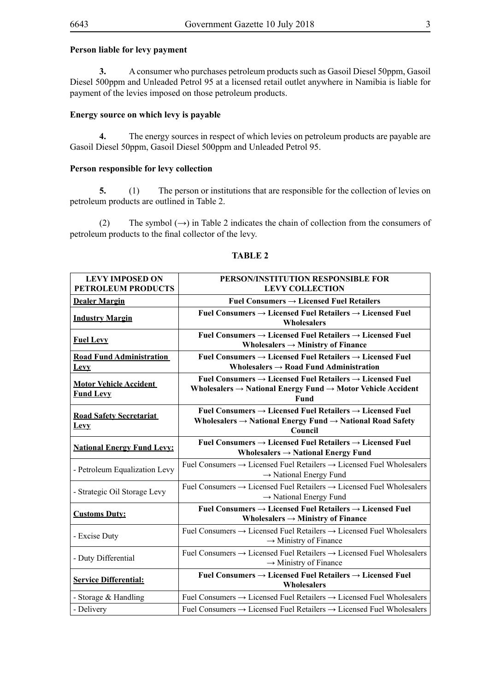### **Person liable for levy payment**

**3.** A consumer who purchases petroleum products such as Gasoil Diesel 50ppm, Gasoil Diesel 500ppm and Unleaded Petrol 95 at a licensed retail outlet anywhere in Namibia is liable for payment of the levies imposed on those petroleum products.

### **Energy source on which levy is payable**

**4.** The energy sources in respect of which levies on petroleum products are payable are Gasoil Diesel 50ppm, Gasoil Diesel 500ppm and Unleaded Petrol 95.

### **Person responsible for levy collection**

**5.** (1) The person or institutions that are responsible for the collection of levies on petroleum products are outlined in Table 2.

(2) The symbol  $(\rightarrow)$  in Table 2 indicates the chain of collection from the consumers of petroleum products to the final collector of the levy.

| <b>LEVY IMPOSED ON</b>                            | PERSON/INSTITUTION RESPONSIBLE FOR                                                                                                                                               |  |  |
|---------------------------------------------------|----------------------------------------------------------------------------------------------------------------------------------------------------------------------------------|--|--|
| <b>PETROLEUM PRODUCTS</b>                         | <b>LEVY COLLECTION</b>                                                                                                                                                           |  |  |
| <b>Dealer Margin</b>                              | Fuel Consumers $\rightarrow$ Licensed Fuel Retailers                                                                                                                             |  |  |
| <b>Industry Margin</b>                            | Fuel Consumers $\rightarrow$ Licensed Fuel Retailers $\rightarrow$ Licensed Fuel<br>Wholesalers                                                                                  |  |  |
| <b>Fuel Levy</b>                                  | Fuel Consumers $\rightarrow$ Licensed Fuel Retailers $\rightarrow$ Licensed Fuel<br>Wholesalers $\rightarrow$ Ministry of Finance                                                |  |  |
| <b>Road Fund Administration</b><br><b>Levy</b>    | Fuel Consumers $\rightarrow$ Licensed Fuel Retailers $\rightarrow$ Licensed Fuel<br>Wholesalers $\rightarrow$ Road Fund Administration                                           |  |  |
| <b>Motor Vehicle Accident</b><br><b>Fund Levy</b> | Fuel Consumers $\rightarrow$ Licensed Fuel Retailers $\rightarrow$ Licensed Fuel<br>Wholesalers $\rightarrow$ National Energy Fund $\rightarrow$ Motor Vehicle Accident<br>Fund  |  |  |
| <b>Road Safety Secretariat</b><br><b>Levy</b>     | Fuel Consumers $\rightarrow$ Licensed Fuel Retailers $\rightarrow$ Licensed Fuel<br>Wholesalers $\rightarrow$ National Energy Fund $\rightarrow$ National Road Safety<br>Council |  |  |
| <b>National Energy Fund Levy:</b>                 | Fuel Consumers $\rightarrow$ Licensed Fuel Retailers $\rightarrow$ Licensed Fuel<br>Wholesalers $\rightarrow$ National Energy Fund                                               |  |  |
| - Petroleum Equalization Levy                     | Fuel Consumers $\rightarrow$ Licensed Fuel Retailers $\rightarrow$ Licensed Fuel Wholesalers<br>$\rightarrow$ National Energy Fund                                               |  |  |
| - Strategic Oil Storage Levy                      | Fuel Consumers $\rightarrow$ Licensed Fuel Retailers $\rightarrow$ Licensed Fuel Wholesalers<br>$\rightarrow$ National Energy Fund                                               |  |  |
| <b>Customs Duty:</b>                              | Fuel Consumers $\rightarrow$ Licensed Fuel Retailers $\rightarrow$ Licensed Fuel<br>Wholesalers $\rightarrow$ Ministry of Finance                                                |  |  |
| - Excise Duty                                     | Fuel Consumers $\rightarrow$ Licensed Fuel Retailers $\rightarrow$ Licensed Fuel Wholesalers<br>$\rightarrow$ Ministry of Finance                                                |  |  |
| - Duty Differential                               | Fuel Consumers $\rightarrow$ Licensed Fuel Retailers $\rightarrow$ Licensed Fuel Wholesalers<br>$\rightarrow$ Ministry of Finance                                                |  |  |
| <b>Service Differential:</b>                      | Fuel Consumers $\rightarrow$ Licensed Fuel Retailers $\rightarrow$ Licensed Fuel<br>Wholesalers                                                                                  |  |  |
| - Storage & Handling                              | Fuel Consumers $\rightarrow$ Licensed Fuel Retailers $\rightarrow$ Licensed Fuel Wholesalers                                                                                     |  |  |
| - Delivery                                        | Fuel Consumers $\rightarrow$ Licensed Fuel Retailers $\rightarrow$ Licensed Fuel Wholesalers                                                                                     |  |  |

# **TABLE 2**